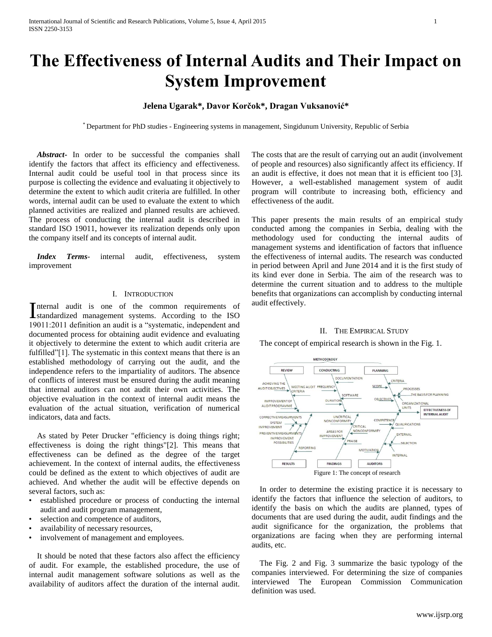# **The Effectiveness of Internal Audits and Their Impact on System Improvement**

# **Jelena Ugarak\*, Davor Korčok\*, Dragan Vuksanović\***

\* Department for PhD studies - Engineering systems in management, Singidunum University, Republic of Serbia

 *Abstract***-** In order to be successful the companies shall identify the factors that affect its efficiency and effectiveness. Internal audit could be useful tool in that process since its purpose is collecting the evidence and evaluating it objectively to determine the extent to which audit criteria are fulfilled. In other words, internal audit can be used to evaluate the extent to which planned activities are realized and planned results are achieved. The process of conducting the internal audit is described in standard ISO 19011, however its realization depends only upon the company itself and its concepts of internal audit.

 *Index Terms*- internal audit, effectiveness, system improvement

# I. INTRODUCTION

nternal audit is one of the common requirements of Internal audit is one of the common requirements of<br>
standardized management systems. According to the ISO 19011:2011 definition an audit is a "systematic, independent and documented process for obtaining audit evidence and evaluating it objectively to determine the extent to which audit criteria are fulfilled"[1]. The systematic in this context means that there is an established methodology of carrying out the audit, and the independence refers to the impartiality of auditors. The absence of conflicts of interest must be ensured during the audit meaning that internal auditors can not audit their own activities. The objective evaluation in the context of internal audit means the evaluation of the actual situation, verification of numerical indicators, data and facts.

 As stated by Peter Drucker "efficiency is doing things right; effectiveness is doing the right things"[2]. This means that effectiveness can be defined as the degree of the target achievement. In the context of internal audits, the effectiveness could be defined as the extent to which objectives of audit are achieved. And whether the audit will be effective depends on several factors, such as:

- established procedure or process of conducting the internal audit and audit program management,
- selection and competence of auditors,
- availability of necessary resources,
- involvement of management and employees.

 It should be noted that these factors also affect the efficiency of audit. For example, the established procedure, the use of internal audit management software solutions as well as the availability of auditors affect the duration of the internal audit.

The costs that are the result of carrying out an audit (involvement of people and resources) also significantly affect its efficiency. If an audit is effective, it does not mean that it is efficient too [3]. However, a well-established management system of audit program will contribute to increasing both, efficiency and effectiveness of the audit.

This paper presents the main results of an empirical study conducted among the companies in Serbia, dealing with the methodology used for conducting the internal audits of management systems and identification of factors that influence the effectiveness of internal audits. The research was conducted in period between April and June 2014 and it is the first study of its kind ever done in Serbia. The aim of the research was to determine the current situation and to address to the multiple benefits that organizations can accomplish by conducting internal audit effectively.

#### II. THE EMPIRICAL STUDY

The concept of empirical research is shown in the Fig. 1.



 In order to determine the existing practice it is necessary to identify the factors that influence the selection of auditors, to identify the basis on which the audits are planned, types of documents that are used during the audit, audit findings and the audit significance for the organization, the problems that organizations are facing when they are performing internal audits, etc.

 The Fig. 2 and Fig. 3 summarize the basic typology of the companies interviewed. For determining the size of companies interviewed The European Commission Communication definition was used.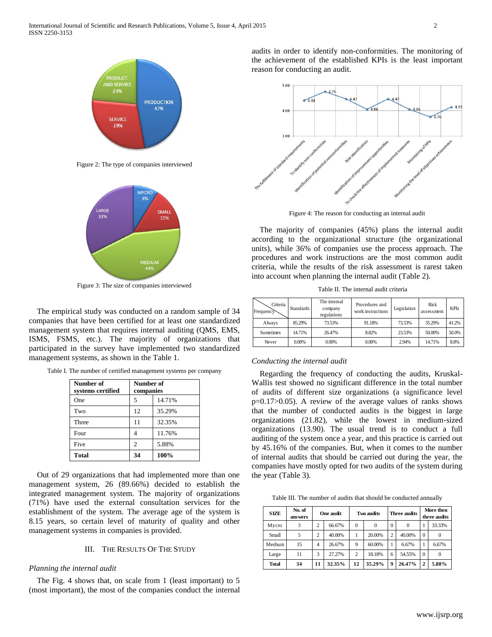

Figure 2: The type of companies interviewed



Figure 3: The size of companies interviewed

 The empirical study was conducted on a random sample of 34 companies that have been certified for at least one standardized management system that requires internal auditing (QMS, EMS, ISMS, FSMS, etc.). The majority of organizations that participated in the survey have implemented two standardized management systems, as shown in the Table 1.

Table I. The number of certified management systems per company

| Number of<br>systems certified | Number of<br>companies |        |  |
|--------------------------------|------------------------|--------|--|
| One                            | 5                      | 14.71% |  |
| Two                            | 12                     | 35.29% |  |
| Three                          | 11                     | 32.35% |  |
| Four                           |                        | 11.76% |  |
| Five                           | $\overline{c}$         | 5.88%  |  |
| <b>Total</b>                   | 34                     | 100%   |  |

 Out of 29 organizations that had implemented more than one management system, 26 (89.66%) decided to establish the integrated management system. The majority of organizations (71%) have used the external consultation services for the establishment of the system. The average age of the system is 8.15 years, so certain level of maturity of quality and other management systems in companies is provided.

# III. THE RESULTS OF THE STUDY

#### *Planning the internal audit*

 The Fig. 4 shows that, on scale from 1 (least important) to 5 (most important), the most of the companies conduct the internal audits in order to identify non-conformities. The monitoring of the achievement of the established KPIs is the least important reason for conducting an audit.



Figure 4: The reason for conducting an internal audit

 The majority of companies (45%) plans the internal audit according to the organizational structure (the organizational units), while 36% of companies use the process approach. The procedures and work instructions are the most common audit criteria, while the results of the risk assessment is rarest taken into account when planning the internal audit (Table 2).

Table II. The internal audit criteria

| Criteria<br>Frequency | <b>Standards</b> | The internal<br>company<br>regulations | Procedures and<br>work instructions | Legislation | <b>Risk</b><br>assessment | <b>KPIs</b> |
|-----------------------|------------------|----------------------------------------|-------------------------------------|-------------|---------------------------|-------------|
| Always                | 85.29%           | 73.53%                                 | 91.18%                              | 73.53%      | 35.29%                    | 41.2%       |
| Sometimes             | 14.71%           | 26.47%                                 | 8.82%                               | 23.53%      | 50.00%                    | 50.0%       |
| Never                 | 0.00%            | 0.00%                                  | 0.00%                               | 2.94%       | 14.71%                    | 8.8%        |

# *Conducting the internal audit*

 Regarding the frequency of conducting the audits, Kruskal-Wallis test showed no significant difference in the total number of audits of different size organizations (a significance level p=0.17>0.05). A review of the average values of ranks shows that the number of conducted audits is the biggest in large organizations (21.82), while the lowest in medium-sized organizations (13.90). The usual trend is to conduct a full auditing of the system once a year, and this practice is carried out by 45.16% of the companies. But, when it comes to the number of internal audits that should be carried out during the year, the companies have mostly opted for two audits of the system during the year (Table 3).

Table III. The number of audits that should be conducted annually

| <b>SIZE</b>  | No. of<br>ans wers |                | One audit |                | Two audits |                | Three audits |                | More then<br>three audits |
|--------------|--------------------|----------------|-----------|----------------|------------|----------------|--------------|----------------|---------------------------|
| Mycro        | 3                  | 2              | 66.67%    | 0              | $\Omega$   | $\Omega$       |              |                | 33.33%                    |
| Small        | 5                  | $\overline{c}$ | 40.00%    |                | 20.00%     | $\overline{c}$ | 40.00%       | $\Omega$       | $\Omega$                  |
| Medium       | 15                 | $\overline{4}$ | 26.67%    | 9              | 60.00%     |                | 6.67%        |                | 6.67%                     |
| Large        | 11                 | 3              | 27.27%    | $\overline{c}$ | 18.18%     | 6              | 54.55%       | $\Omega$       | $\Omega$                  |
| <b>Total</b> | 34                 | 11             | 32.35%    | 12             | 35.29%     | $\mathbf Q$    | 26.47%       | $\overline{2}$ | 5.88%                     |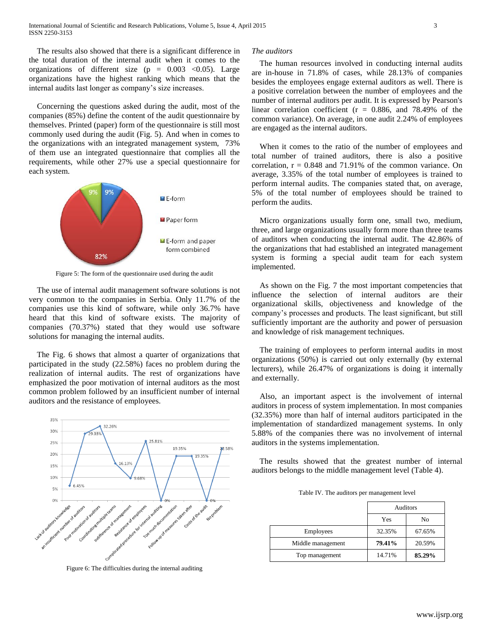The results also showed that there is a significant difference in the total duration of the internal audit when it comes to the organizations of different size ( $p = 0.003$  < 0.05). Large organizations have the highest ranking which means that the internal audits last longer as company's size increases.

 Concerning the questions asked during the audit, most of the companies (85%) define the content of the audit questionnaire by themselves. Printed (paper) form of the questionnaire is still most commonly used during the audit (Fig. 5). And when in comes to the organizations with an integrated management system, 73% of them use an integrated questionnaire that complies all the requirements, while other 27% use a special questionnaire for each system.



Figure 5: The form of the questionnaire used during the audit

The use of internal audit management software solutions is not very common to the companies in Serbia. Only 11.7% of the companies use this kind of software, while only 36.7% have heard that this kind of software exists. The majority of companies (70.37%) stated that they would use software solutions for managing the internal audits.

 The Fig. 6 shows that almost a quarter of organizations that participated in the study (22.58%) faces no problem during the realization of internal audits. The rest of organizations have emphasized the poor motivation of internal auditors as the most common problem followed by an insufficient number of internal auditors and the resistance of employees.



Figure 6: The difficulties during the internal auditing

## *The auditors*

 The human resources involved in conducting internal audits are in-house in 71.8% of cases, while 28.13% of companies besides the employees engage external auditors as well. There is a positive correlation between the number of employees and the number of internal auditors per audit. It is expressed by Pearson's linear correlation coefficient ( $r = 0.886$ , and 78.49% of the common variance). On average, in one audit 2.24% of employees are engaged as the internal auditors.

 When it comes to the ratio of the number of employees and total number of trained auditors, there is also a positive correlation,  $r = 0.848$  and 71.91% of the common variance. On average, 3.35% of the total number of employees is trained to perform internal audits. The companies stated that, on average, 5% of the total number of employees should be trained to perform the audits.

 Micro organizations usually form one, small two, medium, three, and large organizations usually form more than three teams of auditors when conducting the internal audit. The 42.86% of the organizations that had established an integrated management system is forming a special audit team for each system implemented.

 As shown on the Fig. 7 the most important competencies that influence the selection of internal auditors are their organizational skills, objectiveness and knowledge of the company's processes and products. The least significant, but still sufficiently important are the authority and power of persuasion and knowledge of risk management techniques.

 The training of employees to perform internal audits in most organizations (50%) is carried out only externally (by external lecturers), while 26.47% of organizations is doing it internally and externally.

 Also, an important aspect is the involvement of internal auditors in process of system implementation. In most companies (32.35%) more than half of internal auditors participated in the implementation of standardized management systems. In only 5.88% of the companies there was no involvement of internal auditors in the systems implementation.

 The results showed that the greatest number of internal auditors belongs to the middle management level (Table 4).

Table IV. The auditors per management level

|                   | <b>Auditors</b> |        |  |
|-------------------|-----------------|--------|--|
|                   | Yes<br>No       |        |  |
| Employees         | 32.35%          | 67.65% |  |
| Middle management | 79.41%          | 20.59% |  |
| Top management    | 14.71%          | 85.29% |  |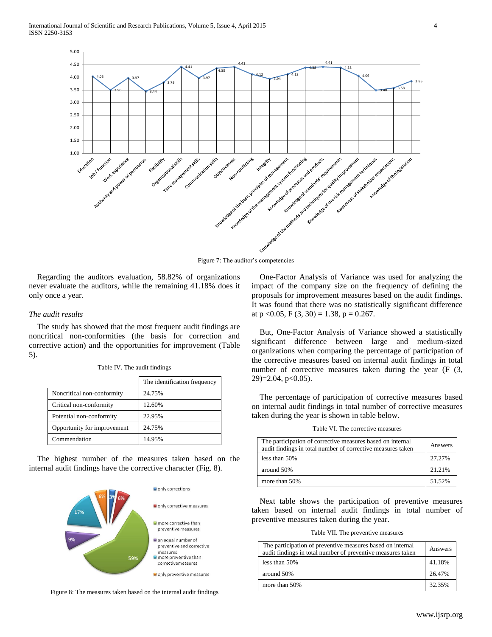

Figure 7: The auditor's competencies

 Regarding the auditors evaluation, 58.82% of organizations never evaluate the auditors, while the remaining 41.18% does it only once a year.

# *The audit results*

 The study has showed that the most frequent audit findings are noncritical non-conformities (the basis for correction and corrective action) and the opportunities for improvement (Table 5).

|                             | The identification frequency |
|-----------------------------|------------------------------|
| Noncritical non-conformity  | 24.75%                       |
| Critical non-conformity     | 12.60%                       |
| Potential non-conformity    | 22.95%                       |
| Opportunity for improvement | 24.75%                       |
| Commendation                | 14.95%                       |

Table IV. The audit findings

 The highest number of the measures taken based on the internal audit findings have the corrective character (Fig. 8).



Figure 8: The measures taken based on the internal audit findings

 One-Factor Analysis of Variance was used for analyzing the impact of the company size on the frequency of defining the proposals for improvement measures based on the audit findings. It was found that there was no statistically significant difference at  $p < 0.05$ ,  $F(3, 30) = 1.38$ ,  $p = 0.267$ .

 But, One-Factor Analysis of Variance showed a statistically significant difference between large and medium-sized organizations when comparing the percentage of participation of the corrective measures based on internal audit findings in total number of corrective measures taken during the year (F  $(3, 1)$ ) 29)=2.04, p<0.05).

 The percentage of participation of corrective measures based on internal audit findings in total number of corrective measures taken during the year is shown in table below.

Table VI. The corrective measures

| The participation of corrective measures based on internal<br>audit findings in total number of corrective measures taken | Answers |
|---------------------------------------------------------------------------------------------------------------------------|---------|
| less than 50%                                                                                                             | 27.27%  |
| around 50%                                                                                                                | 21.21%  |
| more than 50%                                                                                                             | 51.52%  |

 Next table shows the participation of preventive measures taken based on internal audit findings in total number of preventive measures taken during the year.

Table VII. The preventive measures

| The participation of preventive measures based on internal<br>audit findings in total number of preventive measures taken | Answers |
|---------------------------------------------------------------------------------------------------------------------------|---------|
| less than $50\%$                                                                                                          | 41.18%  |
| around 50%                                                                                                                | 26.47%  |
| more than 50%                                                                                                             | 32.35%  |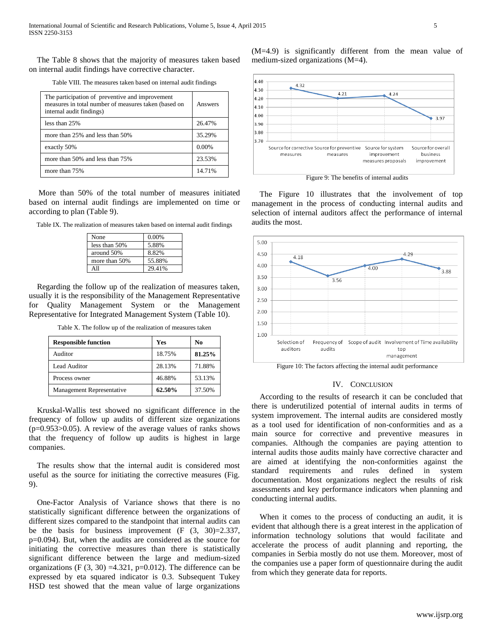The Table 8 shows that the majority of measures taken based on internal audit findings have corrective character.

Table VIII. The measures taken based on internal audit findings

| The participation of preventive and improvement<br>measures in total number of measures taken (based on<br>internal audit findings) | Answers |
|-------------------------------------------------------------------------------------------------------------------------------------|---------|
| less than 25%                                                                                                                       | 26.47%  |
| more than 25% and less than 50%                                                                                                     | 35.29%  |
| exactly 50%                                                                                                                         | 0.00%   |
| more than 50% and less than 75%                                                                                                     | 23.53%  |
| more than 75%                                                                                                                       |         |

 More than 50% of the total number of measures initiated based on internal audit findings are implemented on time or according to plan (Table 9).

Table IX. The realization of measures taken based on internal audit findings

| None          | 0.00%  |
|---------------|--------|
| less than 50% | 5.88%  |
| around 50%    | 8.82%  |
| more than 50% | 55.88% |
|               | 29.41% |

 Regarding the follow up of the realization of measures taken, usually it is the responsibility of the Management Representative for Quality Management System or the Management Representative for Integrated Management System (Table 10).

Table X. The follow up of the realization of measures taken

| <b>Responsible function</b>      | Yes    | No     |
|----------------------------------|--------|--------|
| Auditor                          | 18.75% | 81.25% |
| Lead Auditor                     | 28.13% | 71.88% |
| Process owner                    | 46.88% | 53.13% |
| <b>Management Representative</b> | 62.50% | 37.50% |

 Kruskal-Wallis test showed no significant difference in the frequency of follow up audits of different size organizations  $(p=0.953>0.05)$ . A review of the average values of ranks shows that the frequency of follow up audits is highest in large companies.

 The results show that the internal audit is considered most useful as the source for initiating the corrective measures (Fig. 9).

 One-Factor Analysis of Variance shows that there is no statistically significant difference between the organizations of different sizes compared to the standpoint that internal audits can be the basis for business improvement  $(F (3, 30)=2.337,$ p=0.094). But, when the audits are considered as the source for initiating the corrective measures than there is statistically significant difference between the large and medium-sized organizations (F  $(3, 30) = 4.321$ , p=0.012). The difference can be expressed by eta squared indicator is 0.3. Subsequent Tukey HSD test showed that the mean value of large organizations

(M=4.9) is significantly different from the mean value of medium-sized organizations (M=4).



Figure 9: The benefits of internal audits

 The Figure 10 illustrates that the involvement of top management in the process of conducting internal audits and selection of internal auditors affect the performance of internal audits the most.



#### Figure 10: The factors affecting the internal audit performance

# IV. CONCLUSION

 According to the results of research it can be concluded that there is underutilized potential of internal audits in terms of system improvement. The internal audits are considered mostly as a tool used for identification of non-conformities and as a main source for corrective and preventive measures in companies. Although the companies are paying attention to internal audits those audits mainly have corrective character and are aimed at identifying the non-conformities against the standard requirements and rules defined in system documentation. Most organizations neglect the results of risk assessments and key performance indicators when planning and conducting internal audits.

 When it comes to the process of conducting an audit, it is evident that although there is a great interest in the application of information technology solutions that would facilitate and accelerate the process of audit planning and reporting, the companies in Serbia mostly do not use them. Moreover, most of the companies use a paper form of questionnaire during the audit from which they generate data for reports.